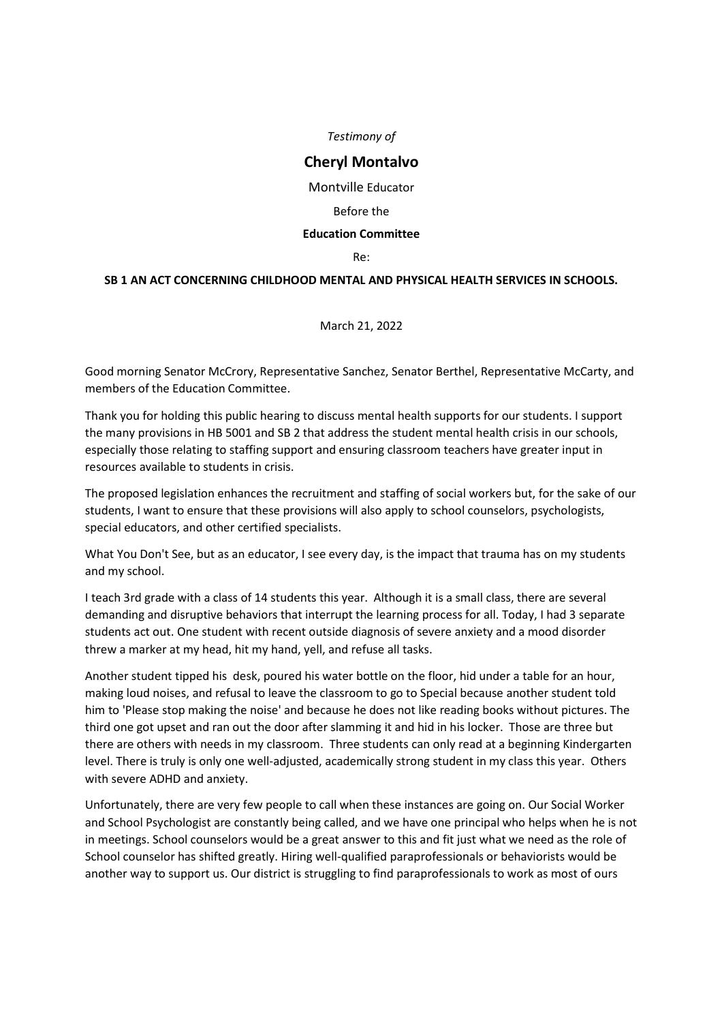*Testimony of*

## **Cheryl Montalvo**

Montville Educator

Before the

## **Education Committee**

Re:

## **SB 1 AN ACT CONCERNING CHILDHOOD MENTAL AND PHYSICAL HEALTH SERVICES IN SCHOOLS.**

March 21, 2022

Good morning Senator McCrory, Representative Sanchez, Senator Berthel, Representative McCarty, and members of the Education Committee.

Thank you for holding this public hearing to discuss mental health supports for our students. I support the many provisions in HB 5001 and SB 2 that address the student mental health crisis in our schools, especially those relating to staffing support and ensuring classroom teachers have greater input in resources available to students in crisis.

The proposed legislation enhances the recruitment and staffing of social workers but, for the sake of our students, I want to ensure that these provisions will also apply to school counselors, psychologists, special educators, and other certified specialists.

What You Don't See, but as an educator, I see every day, is the impact that trauma has on my students and my school.

I teach 3rd grade with a class of 14 students this year. Although it is a small class, there are several demanding and disruptive behaviors that interrupt the learning process for all. Today, I had 3 separate students act out. One student with recent outside diagnosis of severe anxiety and a mood disorder threw a marker at my head, hit my hand, yell, and refuse all tasks.

Another student tipped his desk, poured his water bottle on the floor, hid under a table for an hour, making loud noises, and refusal to leave the classroom to go to Special because another student told him to 'Please stop making the noise' and because he does not like reading books without pictures. The third one got upset and ran out the door after slamming it and hid in his locker. Those are three but there are others with needs in my classroom. Three students can only read at a beginning Kindergarten level. There is truly is only one well-adjusted, academically strong student in my class this year. Others with severe ADHD and anxiety.

Unfortunately, there are very few people to call when these instances are going on. Our Social Worker and School Psychologist are constantly being called, and we have one principal who helps when he is not in meetings. School counselors would be a great answer to this and fit just what we need as the role of School counselor has shifted greatly. Hiring well-qualified paraprofessionals or behaviorists would be another way to support us. Our district is struggling to find paraprofessionals to work as most of ours